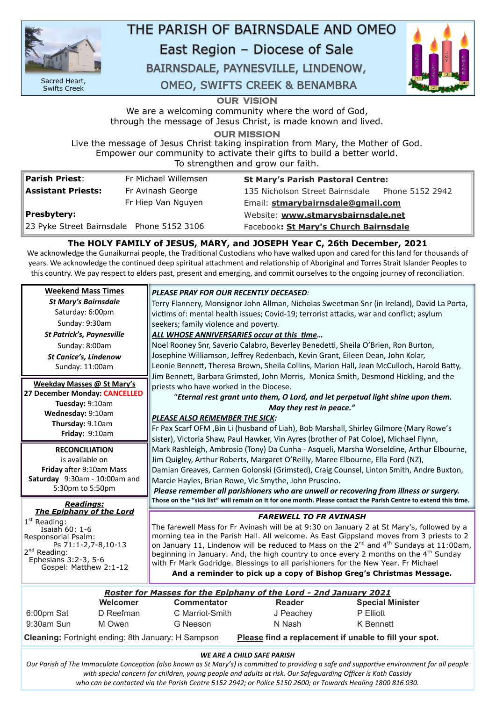**OUR VISION** 

We are a welcoming community where the word of God, through the message of Jesus Christ, is made known and lived.

**OUR MISSION** 

Live the message of Jesus Christ taking inspiration from Mary, the Mother of God. Empower our community to activate their gifts to build a better world. To strengthen and grow our faith.

| <b>Parish Priest:</b>                     | Fr Michael Willemsen | <b>St Mary's Parish Pastoral Centre:</b>        |  |
|-------------------------------------------|----------------------|-------------------------------------------------|--|
| <b>Assistant Priests:</b>                 | Fr Avinash George    | 135 Nicholson Street Bairnsdale Phone 5152 2942 |  |
|                                           | Fr Hiep Van Nguyen   | Email: stmarybairnsdale@gmail.com               |  |
| Presbytery:                               |                      | Website: www.stmarysbairnsdale.net              |  |
| 23 Pyke Street Bairnsdale Phone 5152 3106 |                      | Facebook: St Mary's Church Bairnsdale           |  |

# **The HOLY FAMILY of JESUS, MARY, and JOSEPH Year C, 26th December, 2021**

We acknowledge the Gunaikurnai people, the Traditional Custodians who have walked upon and cared for this land for thousands of years. We acknowledge the continued deep spiritual attachment and relationship of Aboriginal and Torres Strait Islander Peoples to this country. We pay respect to elders past, present and emerging, and commit ourselves to the ongoing journey of reconciliation.

| <b>Weekend Mass Times</b>            | <b>PLEASE PRAY FOR OUR RECENTLY DECEASED:</b>                                                                   |  |  |  |
|--------------------------------------|-----------------------------------------------------------------------------------------------------------------|--|--|--|
| <b>St Mary's Bairnsdale</b>          | Terry Flannery, Monsignor John Allman, Nicholas Sweetman Snr (in Ireland), David La Porta,                      |  |  |  |
| Saturday: 6:00pm                     | victims of: mental health issues; Covid-19; terrorist attacks, war and conflict; asylum                         |  |  |  |
| Sunday: 9:30am                       | seekers; family violence and poverty.                                                                           |  |  |  |
| <b>St Patrick's, Paynesville</b>     | ALL WHOSE ANNIVERSARIES occur at this time                                                                      |  |  |  |
| Sunday: 8:00am                       | Noel Rooney Snr, Saverio Calabro, Beverley Benedetti, Sheila O'Brien, Ron Burton,                               |  |  |  |
| <b>St Canice's, Lindenow</b>         | Josephine Williamson, Jeffrey Redenbach, Kevin Grant, Eileen Dean, John Kolar,                                  |  |  |  |
| Sunday: 11:00am                      | Leonie Bennett, Theresa Brown, Sheila Collins, Marion Hall, Jean McCulloch, Harold Batty,                       |  |  |  |
|                                      | Jim Bennett, Barbara Grimsted, John Morris, Monica Smith, Desmond Hickling, and the                             |  |  |  |
| <b>Weekday Masses @ St Mary's</b>    | priests who have worked in the Diocese.                                                                         |  |  |  |
| 27 December Monday: CANCELLED        | "Eternal rest grant unto them, O Lord, and let perpetual light shine upon them.                                 |  |  |  |
| Tuesday: 9:10am<br>Wednesday: 9:10am | May they rest in peace."                                                                                        |  |  |  |
| Thursday: 9.10am                     | PLEASE ALSO REMEMBER THE SICK:                                                                                  |  |  |  |
| Friday: 9:10am                       | Fr Pax Scarf OFM, Bin Li (husband of Liah), Bob Marshall, Shirley Gilmore (Mary Rowe's                          |  |  |  |
|                                      | sister), Victoria Shaw, Paul Hawker, Vin Ayres (brother of Pat Coloe), Michael Flynn,                           |  |  |  |
| <b>RECONCILIATION</b>                | Mark Rashleigh, Ambrosio (Tony) Da Cunha - Asqueli, Marsha Worseldine, Arthur Elbourne,                         |  |  |  |
| is available on                      | Jim Quigley, Arthur Roberts, Margaret O'Reilly, Maree Elbourne, Ella Ford (NZ),                                 |  |  |  |
| Friday after 9:10am Mass             | Damian Greaves, Carmen Golonski (Grimsted), Craig Counsel, Linton Smith, Andre Buxton,                          |  |  |  |
| Saturday 9:30am - 10:00am and        | Marcie Hayles, Brian Rowe, Vic Smythe, John Pruscino.                                                           |  |  |  |
| 5:30pm to 5:50pm                     | Please remember all parishioners who are unwell or recovering from illness or surgery.                          |  |  |  |
| <b>Readings:</b>                     | Those on the "sick list" will remain on it for one month. Please contact the Parish Centre to extend this time. |  |  |  |
| <b>The Epiphany of the Lord</b>      | <b>FAREWELL TO FR AVINASH</b>                                                                                   |  |  |  |
| $1st$ Reading:<br>Isaiah 60: 1-6     | The farewell Mass for Fr Avinash will be at 9:30 on January 2 at St Mary's, followed by a                       |  |  |  |
|                                      |                                                                                                                 |  |  |  |

Responsorial Psalm: Ps 71:1-2,7-8,10-13 2<sup>nd</sup> Reading: Ephesians 3:2-3, 5-6 Gospel: Matthew 2:1-12

#### *WE ARE A CHILD SAFE PARISH*

*Our Parish of The Immaculate Conception (also known as St Mary's) is committed to providing a safe and supportive environment for all people with special concern for children, young people and adults at risk. Our Safeguarding Officer is Kath Cassidy who can be contacted via the Parish Centre 5152 2942; or Police 5150 2600; or Towards Healing 1800 816 030.*

|            | Roster for Masses for the Epiphany of the Lord - 2nd January 2021 |                    |               |                         |  |
|------------|-------------------------------------------------------------------|--------------------|---------------|-------------------------|--|
|            | Welcomer                                                          | <b>Commentator</b> | <b>Reader</b> | <b>Special Minister</b> |  |
| 6:00pm Sat | D Reefman                                                         | C Marriot-Smith    | J Peachey     | <b>P</b> Elliott        |  |
| 9:30am Sun | M Owen                                                            | G Neeson           | N Nash        | K Bennett               |  |

**Cleaning:** Fortnight ending: 8th January: H Sampson **Please find a replacement if unable to fill your spot.**



Sacred Heart, Swifts Creek

THE PARISH OF BAIRNSDALE AND OMEO

East Region - Diocese of Sale

BAIRNSDALE, PAYNESVILLE, LINDENOW,

**OMEO, SWIFTS CREEK & BENAMBRA** 



morning tea in the Parish Hall. All welcome. As East Gippsland moves from 3 priests to 2 on January 11, Lindenow will be reduced to Mass on the  $2^{nd}$  and  $4^{th}$  Sundays at 11:00am, beginning in January. And, the high country to once every 2 months on the  $4<sup>th</sup>$  Sunday with Fr Mark Godridge. Blessings to all parishioners for the New Year. Fr Michael **And a reminder to pick up a copy of Bishop Greg's Christmas Message.**